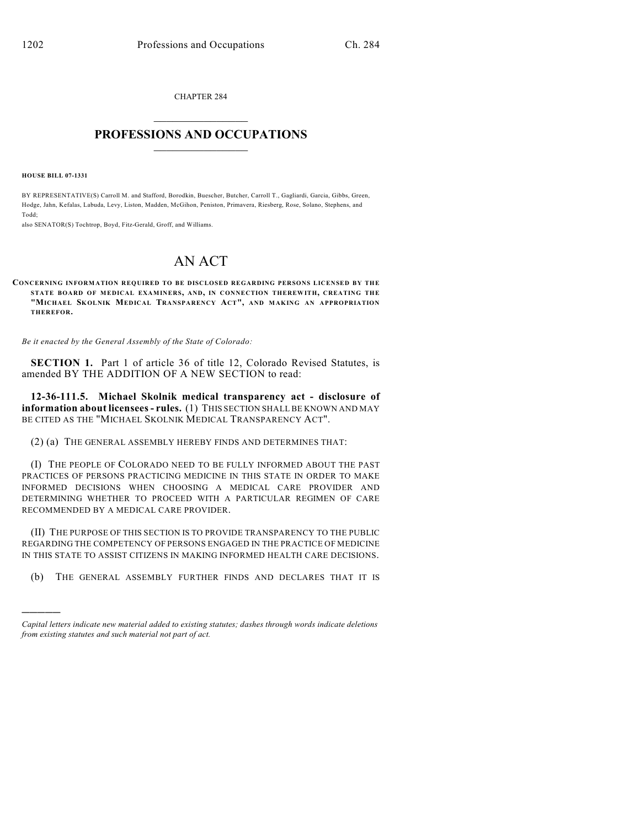CHAPTER 284  $\mathcal{L}_\text{max}$  . The set of the set of the set of the set of the set of the set of the set of the set of the set of the set of the set of the set of the set of the set of the set of the set of the set of the set of the set

## **PROFESSIONS AND OCCUPATIONS**  $\frac{1}{2}$  ,  $\frac{1}{2}$  ,  $\frac{1}{2}$  ,  $\frac{1}{2}$  ,  $\frac{1}{2}$  ,  $\frac{1}{2}$

**HOUSE BILL 07-1331**

)))))

BY REPRESENTATIVE(S) Carroll M. and Stafford, Borodkin, Buescher, Butcher, Carroll T., Gagliardi, Garcia, Gibbs, Green, Hodge, Jahn, Kefalas, Labuda, Levy, Liston, Madden, McGihon, Peniston, Primavera, Riesberg, Rose, Solano, Stephens, and Todd;

also SENATOR(S) Tochtrop, Boyd, Fitz-Gerald, Groff, and Williams.

## AN ACT

**CONCERNING INFORMATION REQUIRED TO BE DISCLOSED REGARDING PERSONS LICENSED BY THE STATE BOARD OF MEDICAL EXAMINERS, AND, IN CONNECTION THEREWITH, CREATING THE "MICHAEL SK OLNIK MEDICAL TRANSPARENCY ACT", AND MAKING AN APPROPRIATION THEREFOR.**

*Be it enacted by the General Assembly of the State of Colorado:*

**SECTION 1.** Part 1 of article 36 of title 12, Colorado Revised Statutes, is amended BY THE ADDITION OF A NEW SECTION to read:

**12-36-111.5. Michael Skolnik medical transparency act - disclosure of information about licensees - rules.** (1) THIS SECTION SHALL BE KNOWN AND MAY BE CITED AS THE "MICHAEL SKOLNIK MEDICAL TRANSPARENCY ACT".

(2) (a) THE GENERAL ASSEMBLY HEREBY FINDS AND DETERMINES THAT:

(I) THE PEOPLE OF COLORADO NEED TO BE FULLY INFORMED ABOUT THE PAST PRACTICES OF PERSONS PRACTICING MEDICINE IN THIS STATE IN ORDER TO MAKE INFORMED DECISIONS WHEN CHOOSING A MEDICAL CARE PROVIDER AND DETERMINING WHETHER TO PROCEED WITH A PARTICULAR REGIMEN OF CARE RECOMMENDED BY A MEDICAL CARE PROVIDER.

(II) THE PURPOSE OF THIS SECTION IS TO PROVIDE TRANSPARENCY TO THE PUBLIC REGARDING THE COMPETENCY OF PERSONS ENGAGED IN THE PRACTICE OF MEDICINE IN THIS STATE TO ASSIST CITIZENS IN MAKING INFORMED HEALTH CARE DECISIONS.

(b) THE GENERAL ASSEMBLY FURTHER FINDS AND DECLARES THAT IT IS

*Capital letters indicate new material added to existing statutes; dashes through words indicate deletions from existing statutes and such material not part of act.*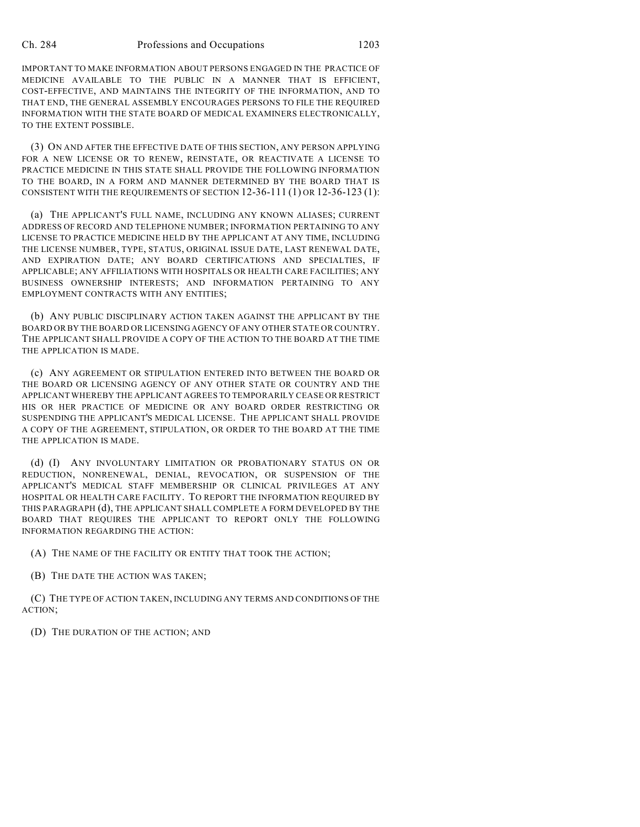IMPORTANT TO MAKE INFORMATION ABOUT PERSONS ENGAGED IN THE PRACTICE OF MEDICINE AVAILABLE TO THE PUBLIC IN A MANNER THAT IS EFFICIENT, COST-EFFECTIVE, AND MAINTAINS THE INTEGRITY OF THE INFORMATION, AND TO THAT END, THE GENERAL ASSEMBLY ENCOURAGES PERSONS TO FILE THE REQUIRED INFORMATION WITH THE STATE BOARD OF MEDICAL EXAMINERS ELECTRONICALLY, TO THE EXTENT POSSIBLE.

(3) ON AND AFTER THE EFFECTIVE DATE OF THIS SECTION, ANY PERSON APPLYING FOR A NEW LICENSE OR TO RENEW, REINSTATE, OR REACTIVATE A LICENSE TO PRACTICE MEDICINE IN THIS STATE SHALL PROVIDE THE FOLLOWING INFORMATION TO THE BOARD, IN A FORM AND MANNER DETERMINED BY THE BOARD THAT IS CONSISTENT WITH THE REQUIREMENTS OF SECTION  $12-36-111(1)$  OR  $12-36-123(1)$ :

(a) THE APPLICANT'S FULL NAME, INCLUDING ANY KNOWN ALIASES; CURRENT ADDRESS OF RECORD AND TELEPHONE NUMBER; INFORMATION PERTAINING TO ANY LICENSE TO PRACTICE MEDICINE HELD BY THE APPLICANT AT ANY TIME, INCLUDING THE LICENSE NUMBER, TYPE, STATUS, ORIGINAL ISSUE DATE, LAST RENEWAL DATE, AND EXPIRATION DATE; ANY BOARD CERTIFICATIONS AND SPECIALTIES, IF APPLICABLE; ANY AFFILIATIONS WITH HOSPITALS OR HEALTH CARE FACILITIES; ANY BUSINESS OWNERSHIP INTERESTS; AND INFORMATION PERTAINING TO ANY EMPLOYMENT CONTRACTS WITH ANY ENTITIES;

(b) ANY PUBLIC DISCIPLINARY ACTION TAKEN AGAINST THE APPLICANT BY THE BOARD OR BY THE BOARD OR LICENSING AGENCY OF ANY OTHER STATE OR COUNTRY. THE APPLICANT SHALL PROVIDE A COPY OF THE ACTION TO THE BOARD AT THE TIME THE APPLICATION IS MADE.

(c) ANY AGREEMENT OR STIPULATION ENTERED INTO BETWEEN THE BOARD OR THE BOARD OR LICENSING AGENCY OF ANY OTHER STATE OR COUNTRY AND THE APPLICANT WHEREBY THE APPLICANT AGREES TO TEMPORARILY CEASE OR RESTRICT HIS OR HER PRACTICE OF MEDICINE OR ANY BOARD ORDER RESTRICTING OR SUSPENDING THE APPLICANT'S MEDICAL LICENSE. THE APPLICANT SHALL PROVIDE A COPY OF THE AGREEMENT, STIPULATION, OR ORDER TO THE BOARD AT THE TIME THE APPLICATION IS MADE.

(d) (I) ANY INVOLUNTARY LIMITATION OR PROBATIONARY STATUS ON OR REDUCTION, NONRENEWAL, DENIAL, REVOCATION, OR SUSPENSION OF THE APPLICANT'S MEDICAL STAFF MEMBERSHIP OR CLINICAL PRIVILEGES AT ANY HOSPITAL OR HEALTH CARE FACILITY. TO REPORT THE INFORMATION REQUIRED BY THIS PARAGRAPH (d), THE APPLICANT SHALL COMPLETE A FORM DEVELOPED BY THE BOARD THAT REQUIRES THE APPLICANT TO REPORT ONLY THE FOLLOWING INFORMATION REGARDING THE ACTION:

(A) THE NAME OF THE FACILITY OR ENTITY THAT TOOK THE ACTION;

(B) THE DATE THE ACTION WAS TAKEN;

(C) THE TYPE OF ACTION TAKEN, INCLUDING ANY TERMS AND CONDITIONS OF THE ACTION;

(D) THE DURATION OF THE ACTION; AND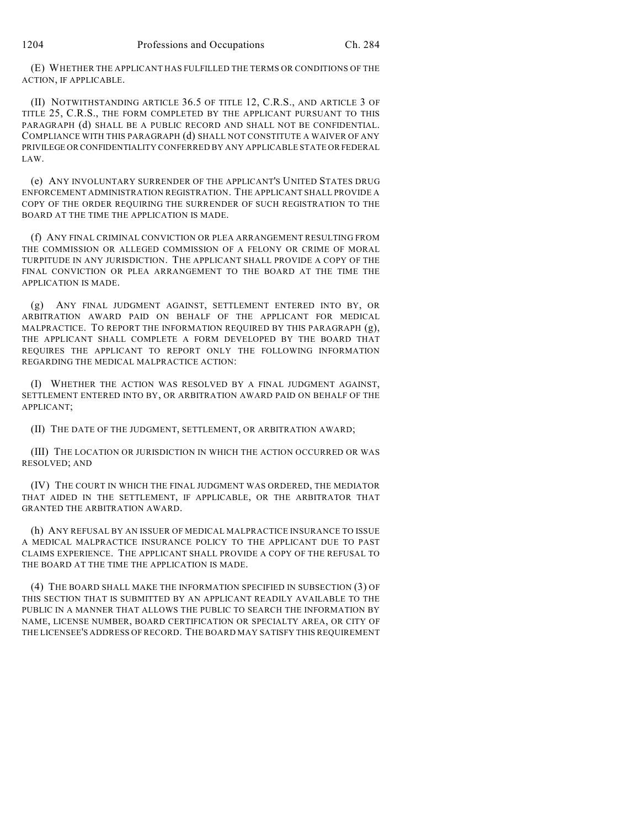(E) WHETHER THE APPLICANT HAS FULFILLED THE TERMS OR CONDITIONS OF THE ACTION, IF APPLICABLE.

(II) NOTWITHSTANDING ARTICLE 36.5 OF TITLE 12, C.R.S., AND ARTICLE 3 OF TITLE 25, C.R.S., THE FORM COMPLETED BY THE APPLICANT PURSUANT TO THIS PARAGRAPH (d) SHALL BE A PUBLIC RECORD AND SHALL NOT BE CONFIDENTIAL. COMPLIANCE WITH THIS PARAGRAPH (d) SHALL NOT CONSTITUTE A WAIVER OF ANY PRIVILEGE OR CONFIDENTIALITY CONFERRED BY ANY APPLICABLE STATE OR FEDERAL LAW.

(e) ANY INVOLUNTARY SURRENDER OF THE APPLICANT'S UNITED STATES DRUG ENFORCEMENT ADMINISTRATION REGISTRATION. THE APPLICANT SHALL PROVIDE A COPY OF THE ORDER REQUIRING THE SURRENDER OF SUCH REGISTRATION TO THE BOARD AT THE TIME THE APPLICATION IS MADE.

(f) ANY FINAL CRIMINAL CONVICTION OR PLEA ARRANGEMENT RESULTING FROM THE COMMISSION OR ALLEGED COMMISSION OF A FELONY OR CRIME OF MORAL TURPITUDE IN ANY JURISDICTION. THE APPLICANT SHALL PROVIDE A COPY OF THE FINAL CONVICTION OR PLEA ARRANGEMENT TO THE BOARD AT THE TIME THE APPLICATION IS MADE.

(g) ANY FINAL JUDGMENT AGAINST, SETTLEMENT ENTERED INTO BY, OR ARBITRATION AWARD PAID ON BEHALF OF THE APPLICANT FOR MEDICAL MALPRACTICE. TO REPORT THE INFORMATION REQUIRED BY THIS PARAGRAPH (g), THE APPLICANT SHALL COMPLETE A FORM DEVELOPED BY THE BOARD THAT REQUIRES THE APPLICANT TO REPORT ONLY THE FOLLOWING INFORMATION REGARDING THE MEDICAL MALPRACTICE ACTION:

(I) WHETHER THE ACTION WAS RESOLVED BY A FINAL JUDGMENT AGAINST, SETTLEMENT ENTERED INTO BY, OR ARBITRATION AWARD PAID ON BEHALF OF THE APPLICANT;

(II) THE DATE OF THE JUDGMENT, SETTLEMENT, OR ARBITRATION AWARD;

(III) THE LOCATION OR JURISDICTION IN WHICH THE ACTION OCCURRED OR WAS RESOLVED; AND

(IV) THE COURT IN WHICH THE FINAL JUDGMENT WAS ORDERED, THE MEDIATOR THAT AIDED IN THE SETTLEMENT, IF APPLICABLE, OR THE ARBITRATOR THAT GRANTED THE ARBITRATION AWARD.

(h) ANY REFUSAL BY AN ISSUER OF MEDICAL MALPRACTICE INSURANCE TO ISSUE A MEDICAL MALPRACTICE INSURANCE POLICY TO THE APPLICANT DUE TO PAST CLAIMS EXPERIENCE. THE APPLICANT SHALL PROVIDE A COPY OF THE REFUSAL TO THE BOARD AT THE TIME THE APPLICATION IS MADE.

(4) THE BOARD SHALL MAKE THE INFORMATION SPECIFIED IN SUBSECTION (3) OF THIS SECTION THAT IS SUBMITTED BY AN APPLICANT READILY AVAILABLE TO THE PUBLIC IN A MANNER THAT ALLOWS THE PUBLIC TO SEARCH THE INFORMATION BY NAME, LICENSE NUMBER, BOARD CERTIFICATION OR SPECIALTY AREA, OR CITY OF THE LICENSEE'S ADDRESS OF RECORD. THE BOARD MAY SATISFY THIS REQUIREMENT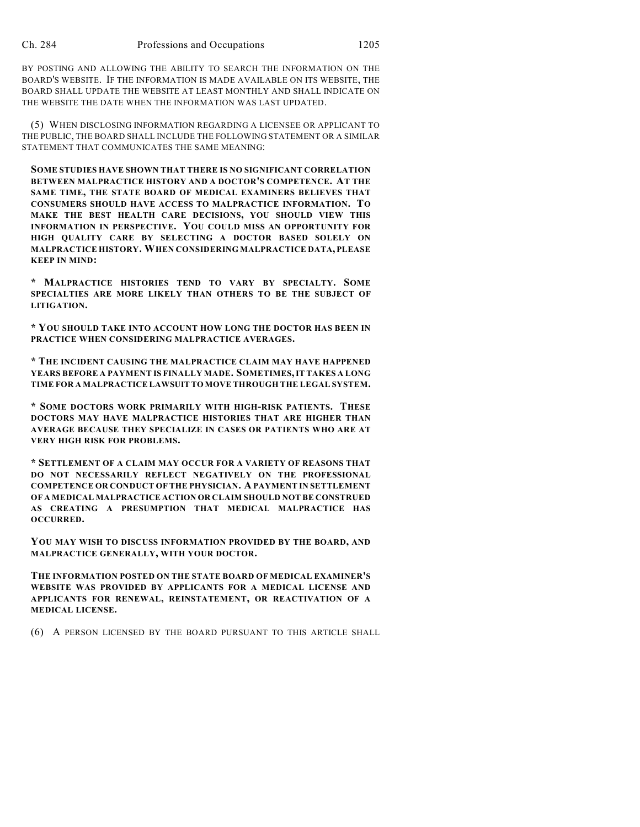BY POSTING AND ALLOWING THE ABILITY TO SEARCH THE INFORMATION ON THE BOARD'S WEBSITE. IF THE INFORMATION IS MADE AVAILABLE ON ITS WEBSITE, THE BOARD SHALL UPDATE THE WEBSITE AT LEAST MONTHLY AND SHALL INDICATE ON THE WEBSITE THE DATE WHEN THE INFORMATION WAS LAST UPDATED.

(5) WHEN DISCLOSING INFORMATION REGARDING A LICENSEE OR APPLICANT TO THE PUBLIC, THE BOARD SHALL INCLUDE THE FOLLOWING STATEMENT OR A SIMILAR STATEMENT THAT COMMUNICATES THE SAME MEANING:

**SOME STUDIES HAVE SHOWN THAT THERE IS NO SIGNIFICANT CORRELATION BETWEEN MALPRACTICE HISTORY AND A DOCTOR'S COMPETENCE. AT THE SAME TIME, THE STATE BOARD OF MEDICAL EXAMINERS BELIEVES THAT CONSUMERS SHOULD HAVE ACCESS TO MALPRACTICE INFORMATION. TO MAKE THE BEST HEALTH CARE DECISIONS, YOU SHOULD VIEW THIS INFORMATION IN PERSPECTIVE. YOU COULD MISS AN OPPORTUNITY FOR HIGH QUALITY CARE BY SELECTING A DOCTOR BASED SOLELY ON MALPRACTICE HISTORY. WHEN CONSIDERING MALPRACTICE DATA, PLEASE KEEP IN MIND:**

**\* MALPRACTICE HISTORIES TEND TO VARY BY SPECIALTY. SOME SPECIALTIES ARE MORE LIKELY THAN OTHERS TO BE THE SUBJECT OF LITIGATION.**

**\* YOU SHOULD TAKE INTO ACCOUNT HOW LONG THE DOCTOR HAS BEEN IN PRACTICE WHEN CONSIDERING MALPRACTICE AVERAGES.**

**\* THE INCIDENT CAUSING THE MALPRACTICE CLAIM MAY HAVE HAPPENED YEARS BEFORE A PAYMENT IS FINALLY MADE. SOMETIMES, IT TAKES A LONG TIME FOR A MALPRACTICE LAWSUIT TO MOVE THROUGH THE LEGAL SYSTEM.**

**\* SOME DOCTORS WORK PRIMARILY WITH HIGH-RISK PATIENTS. THESE DOCTORS MAY HAVE MALPRACTICE HISTORIES THAT ARE HIGHER THAN AVERAGE BECAUSE THEY SPECIALIZE IN CASES OR PATIENTS WHO ARE AT VERY HIGH RISK FOR PROBLEMS.**

**\* SETTLEMENT OF A CLAIM MAY OCCUR FOR A VARIETY OF REASONS THAT DO NOT NECESSARILY REFLECT NEGATIVELY ON THE PROFESSIONAL COMPETENCE OR CONDUCT OF THE PHYSICIAN. A PAYMENT IN SETTLEMENT OF A MEDICAL MALPRACTICE ACTION OR CLAIM SHOULD NOT BE CONSTRUED AS CREATING A PRESUMPTION THAT MEDICAL MALPRACTICE HAS OCCURRED.**

**YOU MAY WISH TO DISCUSS INFORMATION PROVIDED BY THE BOARD, AND MALPRACTICE GENERALLY, WITH YOUR DOCTOR.**

**THE INFORMATION POSTED ON THE STATE BOARD OF MEDICAL EXAMINER'S WEBSITE WAS PROVIDED BY APPLICANTS FOR A MEDICAL LICENSE AND APPLICANTS FOR RENEWAL, REINSTATEMENT, OR REACTIVATION OF A MEDICAL LICENSE.**

(6) A PERSON LICENSED BY THE BOARD PURSUANT TO THIS ARTICLE SHALL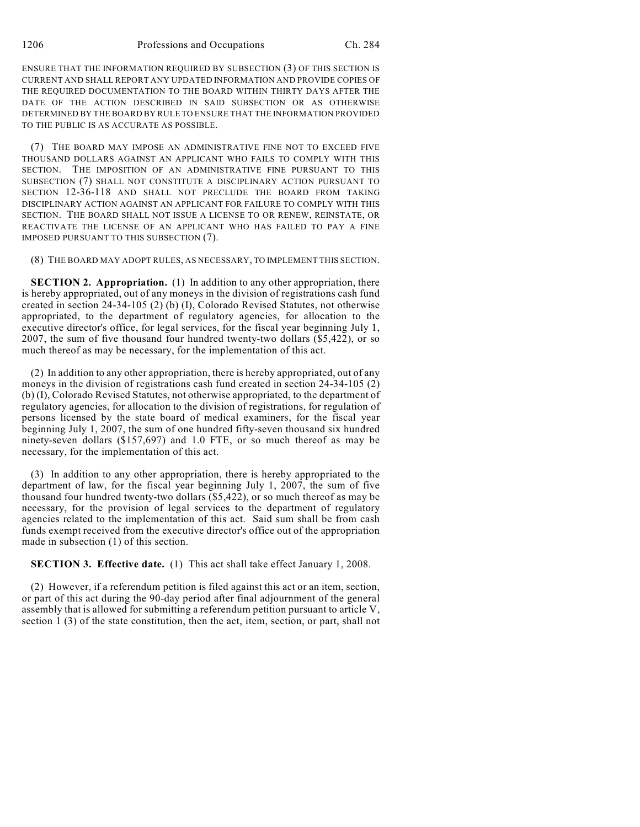ENSURE THAT THE INFORMATION REQUIRED BY SUBSECTION (3) OF THIS SECTION IS CURRENT AND SHALL REPORT ANY UPDATED INFORMATION AND PROVIDE COPIES OF THE REQUIRED DOCUMENTATION TO THE BOARD WITHIN THIRTY DAYS AFTER THE DATE OF THE ACTION DESCRIBED IN SAID SUBSECTION OR AS OTHERWISE DETERMINED BY THE BOARD BY RULE TO ENSURE THAT THE INFORMATION PROVIDED TO THE PUBLIC IS AS ACCURATE AS POSSIBLE.

(7) THE BOARD MAY IMPOSE AN ADMINISTRATIVE FINE NOT TO EXCEED FIVE THOUSAND DOLLARS AGAINST AN APPLICANT WHO FAILS TO COMPLY WITH THIS SECTION. THE IMPOSITION OF AN ADMINISTRATIVE FINE PURSUANT TO THIS SUBSECTION (7) SHALL NOT CONSTITUTE A DISCIPLINARY ACTION PURSUANT TO SECTION 12-36-118 AND SHALL NOT PRECLUDE THE BOARD FROM TAKING DISCIPLINARY ACTION AGAINST AN APPLICANT FOR FAILURE TO COMPLY WITH THIS SECTION. THE BOARD SHALL NOT ISSUE A LICENSE TO OR RENEW, REINSTATE, OR REACTIVATE THE LICENSE OF AN APPLICANT WHO HAS FAILED TO PAY A FINE IMPOSED PURSUANT TO THIS SUBSECTION (7).

(8) THE BOARD MAY ADOPT RULES, AS NECESSARY, TO IMPLEMENT THIS SECTION.

**SECTION 2. Appropriation.** (1) In addition to any other appropriation, there is hereby appropriated, out of any moneys in the division of registrations cash fund created in section 24-34-105 (2) (b) (I), Colorado Revised Statutes, not otherwise appropriated, to the department of regulatory agencies, for allocation to the executive director's office, for legal services, for the fiscal year beginning July 1, 2007, the sum of five thousand four hundred twenty-two dollars (\$5,422), or so much thereof as may be necessary, for the implementation of this act.

(2) In addition to any other appropriation, there is hereby appropriated, out of any moneys in the division of registrations cash fund created in section 24-34-105 (2) (b) (I), Colorado Revised Statutes, not otherwise appropriated, to the department of regulatory agencies, for allocation to the division of registrations, for regulation of persons licensed by the state board of medical examiners, for the fiscal year beginning July 1, 2007, the sum of one hundred fifty-seven thousand six hundred ninety-seven dollars (\$157,697) and 1.0 FTE, or so much thereof as may be necessary, for the implementation of this act.

(3) In addition to any other appropriation, there is hereby appropriated to the department of law, for the fiscal year beginning July 1, 2007, the sum of five thousand four hundred twenty-two dollars (\$5,422), or so much thereof as may be necessary, for the provision of legal services to the department of regulatory agencies related to the implementation of this act. Said sum shall be from cash funds exempt received from the executive director's office out of the appropriation made in subsection (1) of this section.

**SECTION 3. Effective date.** (1) This act shall take effect January 1, 2008.

(2) However, if a referendum petition is filed against this act or an item, section, or part of this act during the 90-day period after final adjournment of the general assembly that is allowed for submitting a referendum petition pursuant to article V, section 1 (3) of the state constitution, then the act, item, section, or part, shall not